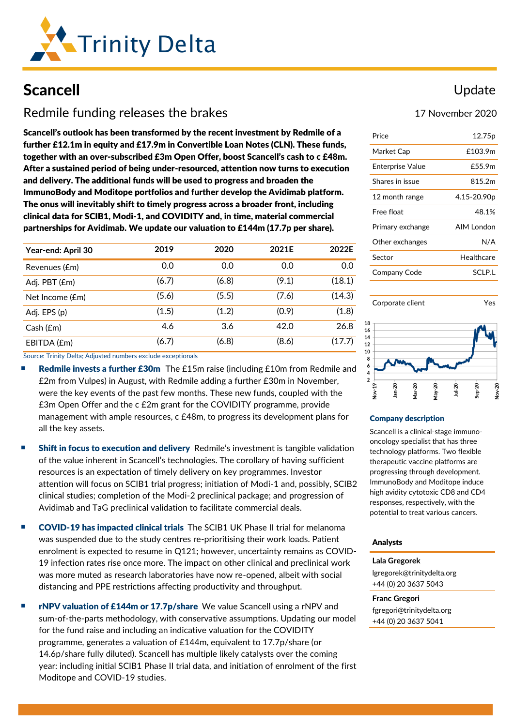

# Scancell

# Redmile funding releases the brakes

Scancell's outlook has been transformed by the recent investment by Redmile of a further £12.1m in equity and £17.9m in Convertible Loan Notes (CLN). These funds, together with an over-subscribed £3m Open Offer, boost Scancell's cash to c £48m. After a sustained period of being under-resourced, attention now turns to execution and delivery. The additional funds will be used to progress and broaden the ImmunoBody and Moditope portfolios and further develop the Avidimab platform. The onus will inevitably shift to timely progress across a broader front, including clinical data for SCIB1, Modi-1, and COVIDITY and, in time, material commercial partnerships for Avidimab. We update our valuation to £144m (17.7p per share).

| Year-end: April 30 | 2019  | 2020  | 2021E | 2022E  |
|--------------------|-------|-------|-------|--------|
| Revenues (£m)      | 0.0   | 0.0   | 0.0   | 0.0    |
| Adj. PBT (£m)      | (6.7) | (6.8) | (9.1) | (18.1) |
| Net Income (£m)    | (5.6) | (5.5) | (7.6) | (14.3) |
| Adj. EPS (p)       | (1.5) | (1.2) | (0.9) | (1.8)  |
| Cash(fm)           | 4.6   | 3.6   | 42.0  | 26.8   |
| EBITDA (£m)        | (6.7) | (6.8) | (8.6) | (17.7) |

Source: Trinity Delta; Adjusted numbers exclude exceptionals

- Redmile invests a further £30m The £15m raise (including £10m from Redmile and £2m from Vulpes) in August, with Redmile adding a further £30m in November, were the key events of the past few months. These new funds, coupled with the £3m Open Offer and the c £2m grant for the COVIDITY programme, provide management with ample resources, c £48m, to progress its development plans for all the key assets.
- Shift in focus to execution and delivery Redmile's investment is tangible validation of the value inherent in Scancell's technologies. The corollary of having sufficient resources is an expectation of timely delivery on key programmes. Investor attention will focus on SCIB1 trial progress; initiation of Modi-1 and, possibly, SCIB2 clinical studies; completion of the Modi-2 preclinical package; and progression of Avidimab and TaG preclinical validation to facilitate commercial deals.
- COVID-19 has impacted clinical trials The SCIB1 UK Phase II trial for melanoma was suspended due to the study centres re-prioritising their work loads. Patient enrolment is expected to resume in Q121; however, uncertainty remains as COVID-19 infection rates rise once more. The impact on other clinical and preclinical work was more muted as research laboratories have now re-opened, albeit with social distancing and PPE restrictions affecting productivity and throughput.
- rNPV valuation of £144m or 17.7p/share We value Scancell using a rNPV and sum-of-the-parts methodology, with conservative assumptions. Updating our model for the fund raise and including an indicative valuation for the COVIDITY programme, generates a valuation of £144m, equivalent to 17.7p/share (or 14.6p/share fully diluted). Scancell has multiple likely catalysts over the coming year: including initial SCIB1 Phase II trial data, and initiation of enrolment of the first Moditope and COVID-19 studies.

### Update

#### 17 November 2020

| Price                   | 12.75p      |
|-------------------------|-------------|
| Market Cap              | £103.9m     |
| <b>Enterprise Value</b> | £55.9m      |
| Shares in issue         | 815.2m      |
| 12 month range          | 4.15-20.90p |
| Free float              | 48.1%       |
| Primary exchange        | AIM London  |
| Other exchanges         | N/A         |
| Sector                  | Healthcare  |
| Company Code            | SCI P.I     |
|                         |             |





#### Company description

18 16 14

> Scancell is a clinical-stage immunooncology specialist that has three technology platforms. Two flexible therapeutic vaccine platforms are progressing through development. ImmunoBody and Moditope induce high avidity cytotoxic CD8 and CD4 responses, respectively, with the potential to treat various cancers.

#### Analysts

**Lala Gregorek** [lgregorek@trinitydelta.org](mailto:lgregorek@trinitydelta.org) +44 (0) 20 3637 5043

#### **Franc Gregori**

[fgregori@trinitydelta.org](mailto:fgregori@trinitydelta.org) +44 (0) 20 3637 5041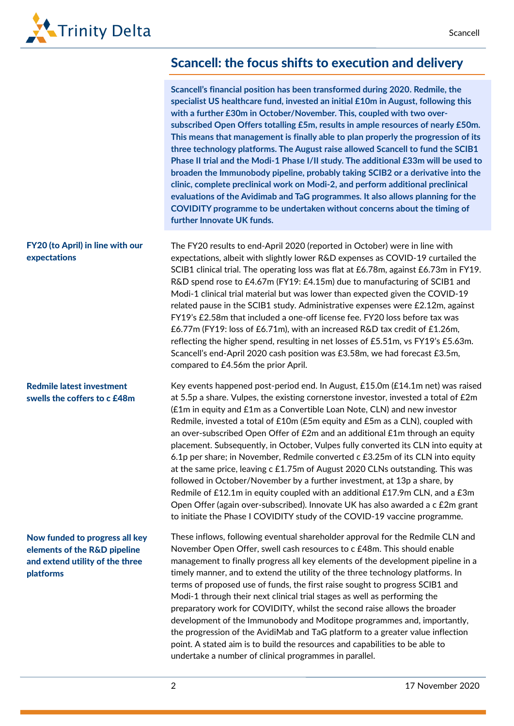# Scancell: the focus shifts to execution and delivery

| Scancell's financial position has been transformed during 2020. Redmile, the        |
|-------------------------------------------------------------------------------------|
| specialist US healthcare fund, invested an initial £10m in August, following this   |
| with a further £30m in October/November. This, coupled with two over-               |
| subscribed Open Offers totalling £5m, results in ample resources of nearly £50m.    |
| This means that management is finally able to plan properly the progression of its  |
| three technology platforms. The August raise allowed Scancell to fund the SCIB1     |
| Phase II trial and the Modi-1 Phase I/II study. The additional £33m will be used to |
| broaden the Immunobody pipeline, probably taking SCIB2 or a derivative into the     |
| clinic, complete preclinical work on Modi-2, and perform additional preclinical     |
| evaluations of the Avidimab and TaG programmes. It also allows planning for the     |
| COVIDITY programme to be undertaken without concerns about the timing of            |
| further Innovate UK funds.                                                          |
|                                                                                     |

The FY20 results to end-April 2020 (reported in October) were in line with expectations, albeit with slightly lower R&D expenses as COVID-19 curtailed the SCIB1 clinical trial. The operating loss was flat at £6.78m, against £6.73m in FY19. R&D spend rose to £4.67m (FY19: £4.15m) due to manufacturing of SCIB1 and Modi-1 clinical trial material but was lower than expected given the COVID-19 related pause in the SCIB1 study. Administrative expenses were £2.12m, against FY19's £2.58m that included a one-off license fee. FY20 loss before tax was £6.77m (FY19: loss of £6.71m), with an increased R&D tax credit of £1.26m, reflecting the higher spend, resulting in net losses of £5.51m, vs FY19's £5.63m. Scancell's end-April 2020 cash position was £3.58m, we had forecast £3.5m, compared to £4.56m the prior April.

> Key events happened post-period end. In August, £15.0m (£14.1m net) was raised at 5.5p a share. Vulpes, the existing cornerstone investor, invested a total of £2m (£1m in equity and £1m as a Convertible Loan Note, CLN) and new investor Redmile, invested a total of £10m (£5m equity and £5m as a CLN), coupled with an over-subscribed Open Offer of £2m and an additional £1m through an equity placement. Subsequently, in October, Vulpes fully converted its CLN into equity at 6.1p per share; in November, Redmile converted c £3.25m of its CLN into equity at the same price, leaving c £1.75m of August 2020 CLNs outstanding. This was followed in October/November by a further investment, at 13p a share, by Redmile of £12.1m in equity coupled with an additional £17.9m CLN, and a £3m Open Offer (again over-subscribed). Innovate UK has also awarded a c £2m grant to initiate the Phase I COVIDITY study of the COVID-19 vaccine programme.

These inflows, following eventual shareholder approval for the Redmile CLN and November Open Offer, swell cash resources to c £48m. This should enable management to finally progress all key elements of the development pipeline in a timely manner, and to extend the utility of the three technology platforms. In terms of proposed use of funds, the first raise sought to progress SCIB1 and Modi-1 through their next clinical trial stages as well as performing the preparatory work for COVIDITY, whilst the second raise allows the broader development of the Immunobody and Moditope programmes and, importantly, the progression of the AvidiMab and TaG platform to a greater value inflection point. A stated aim is to build the resources and capabilities to be able to undertake a number of clinical programmes in parallel.

#### FY20 (to April) in line with our expectations

#### Redmile latest investment swells the coffers to c £48m

Now funded to progress all key elements of the R&D pipeline and extend utility of the three platforms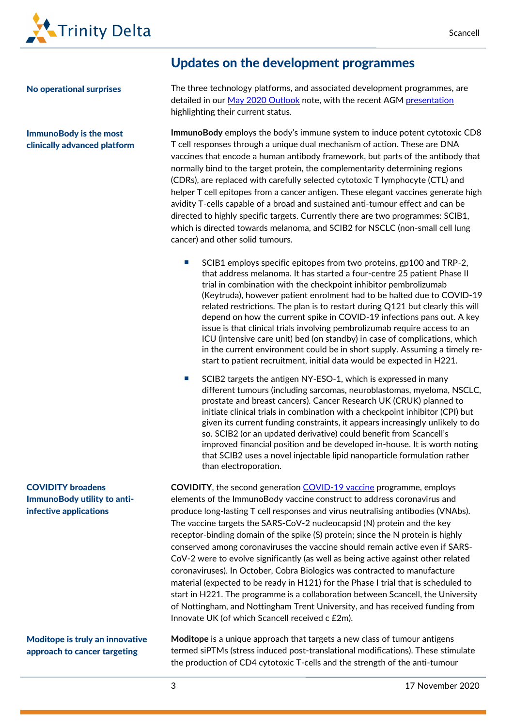

#### No operational surprises

ImmunoBody is the most clinically advanced platform

### Updates on the development programmes

The three technology platforms, and associated development programmes, are detailed in ou[r May 2020 Outlook](https://www.trinitydelta.org/research-notes/reasons-to-be-cheerful/) note, with the recent AGM [presentation](https://www.youtube.com/watch?v=VEbic53pJ_A&feature=youtu.be) highlighting their current status.

**ImmunoBody** employs the body's immune system to induce potent cytotoxic CD8 T cell responses through a unique dual mechanism of action. These are DNA vaccines that encode a human antibody framework, but parts of the antibody that normally bind to the target protein, the complementarity determining regions (CDRs), are replaced with carefully selected cytotoxic T lymphocyte (CTL) and helper T cell epitopes from a cancer antigen. These elegant vaccines generate high avidity T-cells capable of a broad and sustained anti-tumour effect and can be directed to highly specific targets. Currently there are two programmes: SCIB1, which is directed towards melanoma, and SCIB2 for NSCLC (non-small cell lung cancer) and other solid tumours.

- SCIB1 employs specific epitopes from two proteins, gp100 and TRP-2, that address melanoma. It has started a four-centre 25 patient Phase II trial in combination with the checkpoint inhibitor pembrolizumab (Keytruda), however patient enrolment had to be halted due to COVID-19 related restrictions. The plan is to restart during Q121 but clearly this will depend on how the current spike in COVID-19 infections pans out. A key issue is that clinical trials involving pembrolizumab require access to an ICU (intensive care unit) bed (on standby) in case of complications, which in the current environment could be in short supply. Assuming a timely restart to patient recruitment, initial data would be expected in H221.
- SCIB2 targets the antigen NY-ESO-1, which is expressed in many different tumours (including sarcomas, neuroblastomas, myeloma, NSCLC, prostate and breast cancers). Cancer Research UK (CRUK) planned to initiate clinical trials in combination with a checkpoint inhibitor (CPI) but given its current funding constraints, it appears increasingly unlikely to do so. SCIB2 (or an updated derivative) could benefit from Scancell's improved financial position and be developed in-house. It is worth noting that SCIB2 uses a novel injectable lipid nanoparticle formulation rather than electroporation.

**COVIDITY**, the second generation **COVID-19** vaccine programme, employs elements of the ImmunoBody vaccine construct to address coronavirus and produce long-lasting T cell responses and virus neutralising antibodies (VNAbs). The vaccine targets the SARS-CoV-2 nucleocapsid (N) protein and the key receptor-binding domain of the spike (S) protein; since the N protein is highly conserved among coronaviruses the vaccine should remain active even if SARS-CoV-2 were to evolve significantly (as well as being active against other related coronaviruses). In October, Cobra Biologics was contracted to manufacture material (expected to be ready in H121) for the Phase I trial that is scheduled to start in H221. The programme is a collaboration between Scancell, the University of Nottingham, and Nottingham Trent University, and has received funding from Innovate UK (of which Scancell received c £2m).

Moditope is truly an innovative approach to cancer targeting

COVIDITY broadens

ImmunoBody utility to antiinfective applications

> **Moditope** is a unique approach that targets a new class of tumour antigens termed siPTMs (stress induced post-translational modifications). These stimulate the production of CD4 cytotoxic T-cells and the strength of the anti-tumour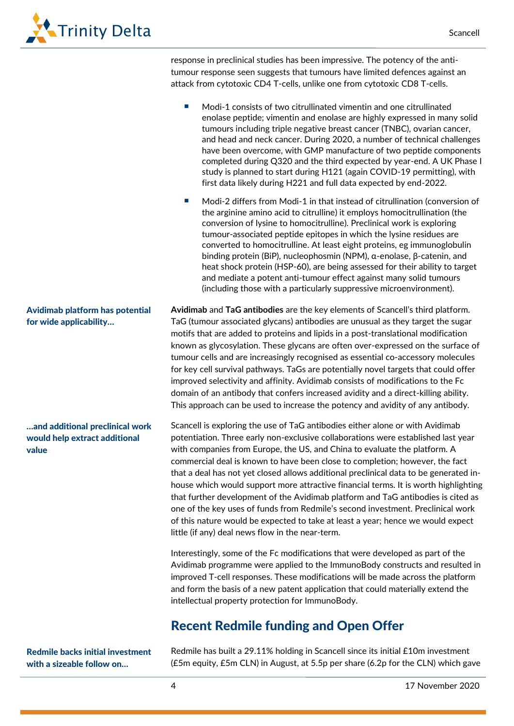

response in preclinical studies has been impressive. The potency of the antitumour response seen suggests that tumours have limited defences against an attack from cytotoxic CD4 T-cells, unlike one from cytotoxic CD8 T-cells. Modi-1 consists of two citrullinated vimentin and one citrullinated enolase peptide; vimentin and enolase are highly expressed in many solid tumours including triple negative breast cancer (TNBC), ovarian cancer, and head and neck cancer. During 2020, a number of technical challenges have been overcome, with GMP manufacture of two peptide components completed during Q320 and the third expected by year-end. A UK Phase I study is planned to start during H121 (again COVID-19 permitting), with first data likely during H221 and full data expected by end-2022. Modi-2 differs from Modi-1 in that instead of citrullination (conversion of the arginine amino acid to citrulline) it employs homocitrullination (the conversion of lysine to homocitrulline). Preclinical work is exploring tumour-associated peptide epitopes in which the lysine residues are converted to homocitrulline. At least eight proteins, eg immunoglobulin binding protein (BiP), nucleophosmin (NPM), α-enolase, β-catenin, and heat shock protein (HSP-60), are being assessed for their ability to target and mediate a potent anti-tumour effect against many solid tumours (including those with a particularly suppressive microenvironment). **Avidimab** and **TaG antibodies** are the key elements of Scancell's third platform. TaG (tumour associated glycans) antibodies are unusual as they target the sugar motifs that are added to proteins and lipids in a post-translational modification known as glycosylation. These glycans are often over-expressed on the surface of tumour cells and are increasingly recognised as essential co-accessory molecules for key cell survival pathways. TaGs are potentially novel targets that could offer improved selectivity and affinity. Avidimab consists of modifications to the Fc domain of an antibody that confers increased avidity and a direct-killing ability. This approach can be used to increase the potency and avidity of any antibody. Scancell is exploring the use of TaG antibodies either alone or with Avidimab potentiation. Three early non-exclusive collaborations were established last year with companies from Europe, the US, and China to evaluate the platform. A commercial deal is known to have been close to completion; however, the fact that a deal has not yet closed allows additional preclinical data to be generated inhouse which would support more attractive financial terms. It is worth highlighting that further development of the Avidimab platform and TaG antibodies is cited as one of the key uses of funds from Redmile's second investment. Preclinical work of this nature would be expected to take at least a year; hence we would expect little (if any) deal news flow in the near-term. Interestingly, some of the Fc modifications that were developed as part of the Avidimab programme were applied to the ImmunoBody constructs and resulted in improved T-cell responses. These modifications will be made across the platform and form the basis of a new patent application that could materially extend the intellectual property protection for ImmunoBody. Recent Redmile funding and Open Offer Avidimab platform has potential for wide applicability… …and additional preclinical work would help extract additional value

Redmile backs initial investment with a sizeable follow on…

Redmile has built a 29.11% holding in Scancell since its initial £10m investment (£5m equity, £5m CLN) in August, at 5.5p per share (6.2p for the CLN) which gave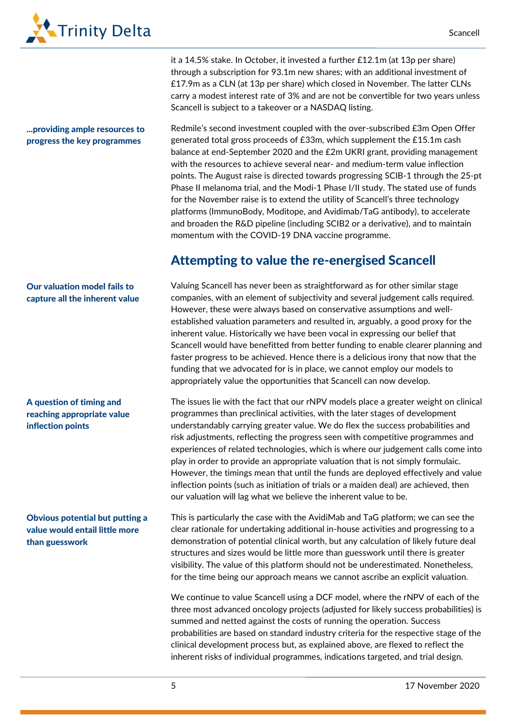

### ...providing ample resources to progress the key programmes

£17.9m as a CLN (at 13p per share) which closed in November. The latter CLNs carry a modest interest rate of 3% and are not be convertible for two years unless Scancell is subject to a takeover or a NASDAQ listing. Redmile's second investment coupled with the over-subscribed £3m Open Offer generated total gross proceeds of £33m, which supplement the £15.1m cash balance at end-September 2020 and the £2m UKRI grant, providing management with the resources to achieve several near- and medium-term value inflection

it a 14.5% stake. In October, it invested a further £12.1m (at 13p per share) through a subscription for 93.1m new shares; with an additional investment of

points. The August raise is directed towards progressing SCIB-1 through the 25-pt Phase II melanoma trial, and the Modi-1 Phase I/II study. The stated use of funds for the November raise is to extend the utility of Scancell's three technology platforms (ImmunoBody, Moditope, and Avidimab/TaG antibody), to accelerate and broaden the R&D pipeline (including SCIB2 or a derivative), and to maintain momentum with the COVID-19 DNA vaccine programme.

# Attempting to value the re-energised Scancell

Valuing Scancell has never been as straightforward as for other similar stage companies, with an element of subjectivity and several judgement calls required. However, these were always based on conservative assumptions and wellestablished valuation parameters and resulted in, arguably, a good proxy for the inherent value. Historically we have been vocal in expressing our belief that Scancell would have benefitted from better funding to enable clearer planning and faster progress to be achieved. Hence there is a delicious irony that now that the funding that we advocated for is in place, we cannot employ our models to appropriately value the opportunities that Scancell can now develop.

The issues lie with the fact that our rNPV models place a greater weight on clinical programmes than preclinical activities, with the later stages of development understandably carrying greater value. We do flex the success probabilities and risk adjustments, reflecting the progress seen with competitive programmes and experiences of related technologies, which is where our judgement calls come into play in order to provide an appropriate valuation that is not simply formulaic. However, the timings mean that until the funds are deployed effectively and value inflection points (such as initiation of trials or a maiden deal) are achieved, then our valuation will lag what we believe the inherent value to be.

This is particularly the case with the AvidiMab and TaG platform; we can see the clear rationale for undertaking additional in-house activities and progressing to a demonstration of potential clinical worth, but any calculation of likely future deal structures and sizes would be little more than guesswork until there is greater visibility. The value of this platform should not be underestimated. Nonetheless, for the time being our approach means we cannot ascribe an explicit valuation.

We continue to value Scancell using a DCF model, where the rNPV of each of the three most advanced oncology projects (adjusted for likely success probabilities) is summed and netted against the costs of running the operation. Success probabilities are based on standard industry criteria for the respective stage of the clinical development process but, as explained above, are flexed to reflect the inherent risks of individual programmes, indications targeted, and trial design.

#### Our valuation model fails to capture all the inherent value

### A question of timing and reaching appropriate value inflection points

### Obvious potential but putting a value would entail little more than guesswork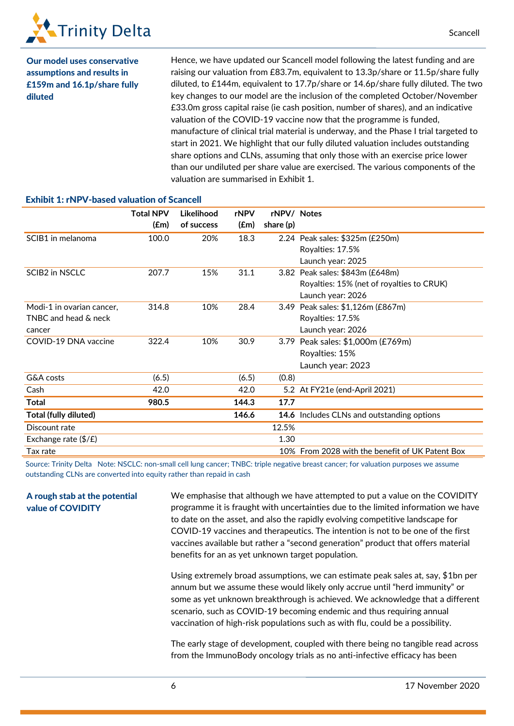

Our model uses conservative assumptions and results in £159m and 16.1p/share fully diluted

Hence, we have updated our Scancell model following the latest funding and are raising our valuation from £83.7m, equivalent to 13.3p/share or 11.5p/share fully diluted, to £144m, equivalent to 17.7p/share or 14.6p/share fully diluted. The two key changes to our model are the inclusion of the completed October/November £33.0m gross capital raise (ie cash position, number of shares), and an indicative valuation of the COVID-19 vaccine now that the programme is funded, manufacture of clinical trial material is underway, and the Phase I trial targeted to start in 2021. We highlight that our fully diluted valuation includes outstanding share options and CLNs, assuming that only those with an exercise price lower than our undiluted per share value are exercised. The various components of the valuation are summarised in Exhibit 1.

|                               | <b>Total NPV</b> | Likelihood<br>of success | rNPV  | rNPV/ Notes |                                                 |
|-------------------------------|------------------|--------------------------|-------|-------------|-------------------------------------------------|
|                               | (£m)             |                          | (£m)  | share (p)   |                                                 |
| SCIB1 in melanoma             | 100.0            | 20%                      | 18.3  |             | 2.24 Peak sales: \$325m (£250m)                 |
|                               |                  |                          |       |             | Royalties: 17.5%                                |
|                               |                  |                          |       |             | Launch year: 2025                               |
| <b>SCIB2 in NSCLC</b>         | 207.7            | 15%                      | 31.1  |             | 3.82 Peak sales: \$843m (£648m)                 |
|                               |                  |                          |       |             | Royalties: 15% (net of royalties to CRUK)       |
|                               |                  |                          |       |             | Launch year: 2026                               |
| Modi-1 in ovarian cancer,     | 314.8            | 10%                      | 28.4  |             | 3.49 Peak sales: \$1,126m (£867m)               |
| TNBC and head & neck          |                  |                          |       |             | Royalties: 17.5%                                |
| cancer                        |                  |                          |       |             | Launch year: 2026                               |
| COVID-19 DNA vaccine          | 322.4            | 10%                      | 30.9  | 3.79        | Peak sales: \$1,000m (£769m)                    |
|                               |                  |                          |       |             | Royalties: 15%                                  |
|                               |                  |                          |       |             | Launch year: 2023                               |
| G&A costs                     | (6.5)            |                          | (6.5) | (0.8)       |                                                 |
| Cash                          | 42.0             |                          | 42.0  |             | 5.2 At FY21e (end-April 2021)                   |
| Total                         | 980.5            |                          | 144.3 | 17.7        |                                                 |
| Total (fully diluted)         |                  |                          | 146.6 |             | 14.6 Includes CLNs and outstanding options      |
| Discount rate                 |                  |                          |       | 12.5%       |                                                 |
| Exchange rate $(\frac{4}{5})$ |                  |                          |       | 1.30        |                                                 |
| Tax rate                      |                  |                          |       |             | 10% From 2028 with the benefit of UK Patent Box |

Exhibit 1: rNPV-based valuation of Scancell

Source: Trinity Delta Note: NSCLC: non-small cell lung cancer; TNBC: triple negative breast cancer; for valuation purposes we assume outstanding CLNs are converted into equity rather than repaid in cash

A rough stab at the potential value of COVIDITY

We emphasise that although we have attempted to put a value on the COVIDITY programme it is fraught with uncertainties due to the limited information we have to date on the asset, and also the rapidly evolving competitive landscape for COVID-19 vaccines and therapeutics. The intention is not to be one of the first vaccines available but rather a "second generation" product that offers material benefits for an as yet unknown target population.

Using extremely broad assumptions, we can estimate peak sales at, say, \$1bn per annum but we assume these would likely only accrue until "herd immunity" or some as yet unknown breakthrough is achieved. We acknowledge that a different scenario, such as COVID-19 becoming endemic and thus requiring annual vaccination of high-risk populations such as with flu, could be a possibility.

The early stage of development, coupled with there being no tangible read across from the ImmunoBody oncology trials as no anti-infective efficacy has been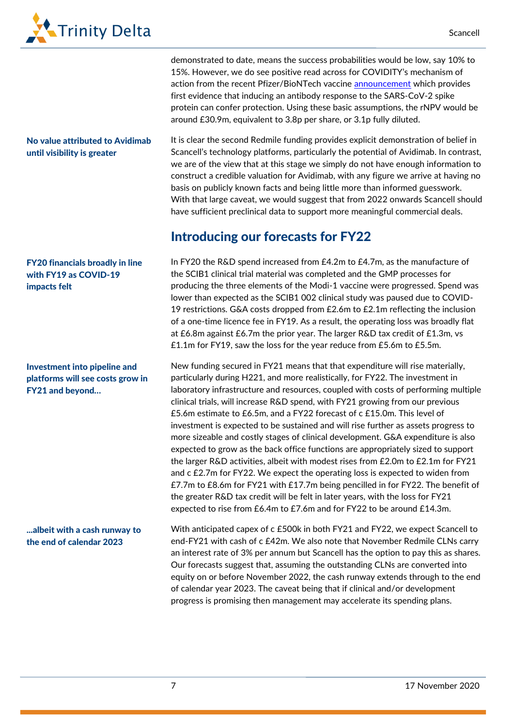

No value attributed to Avidimab until visibility is greater

### FY20 financials broadly in line with FY19 as COVID-19 impacts felt

### Investment into pipeline and platforms will see costs grow in FY21 and beyond…

...albeit with a cash runway to the end of calendar 2023

demonstrated to date, means the success probabilities would be low, say 10% to 15%. However, we do see positive read across for COVIDITY's mechanism of action from the recent Pfizer/BioNTech vaccine [announcement](https://investors.pfizer.com/investor-news/press-release-details/2020/Pfizer-and-BioNTech-Announce-Vaccine-Candidate-Against-COVID-19-Achieved-Success-in-First-Interim-Analysis-from-Phase-3-Study/default.aspx) which provides first evidence that inducing an antibody response to the SARS-CoV-2 spike protein can confer protection. Using these basic assumptions, the rNPV would be around £30.9m, equivalent to 3.8p per share, or 3.1p fully diluted.

It is clear the second Redmile funding provides explicit demonstration of belief in Scancell's technology platforms, particularly the potential of Avidimab. In contrast, we are of the view that at this stage we simply do not have enough information to construct a credible valuation for Avidimab, with any figure we arrive at having no basis on publicly known facts and being little more than informed guesswork. With that large caveat, we would suggest that from 2022 onwards Scancell should have sufficient preclinical data to support more meaningful commercial deals.

# Introducing our forecasts for FY22

In FY20 the R&D spend increased from £4.2m to £4.7m, as the manufacture of the SCIB1 clinical trial material was completed and the GMP processes for producing the three elements of the Modi-1 vaccine were progressed. Spend was lower than expected as the SCIB1 002 clinical study was paused due to COVID-19 restrictions. G&A costs dropped from £2.6m to £2.1m reflecting the inclusion of a one-time licence fee in FY19. As a result, the operating loss was broadly flat at £6.8m against £6.7m the prior year. The larger R&D tax credit of £1.3m, vs £1.1m for FY19, saw the loss for the year reduce from £5.6m to £5.5m.

New funding secured in FY21 means that that expenditure will rise materially, particularly during H221, and more realistically, for FY22. The investment in laboratory infrastructure and resources, coupled with costs of performing multiple clinical trials, will increase R&D spend, with FY21 growing from our previous £5.6m estimate to £6.5m, and a FY22 forecast of c £15.0m. This level of investment is expected to be sustained and will rise further as assets progress to more sizeable and costly stages of clinical development. G&A expenditure is also expected to grow as the back office functions are appropriately sized to support the larger R&D activities, albeit with modest rises from £2.0m to £2.1m for FY21 and c £2.7m for FY22. We expect the operating loss is expected to widen from £7.7m to £8.6m for FY21 with £17.7m being pencilled in for FY22. The benefit of the greater R&D tax credit will be felt in later years, with the loss for FY21 expected to rise from £6.4m to £7.6m and for FY22 to be around £14.3m.

With anticipated capex of c £500k in both FY21 and FY22, we expect Scancell to end-FY21 with cash of c £42m. We also note that November Redmile CLNs carry an interest rate of 3% per annum but Scancell has the option to pay this as shares. Our forecasts suggest that, assuming the outstanding CLNs are converted into equity on or before November 2022, the cash runway extends through to the end of calendar year 2023. The caveat being that if clinical and/or development progress is promising then management may accelerate its spending plans.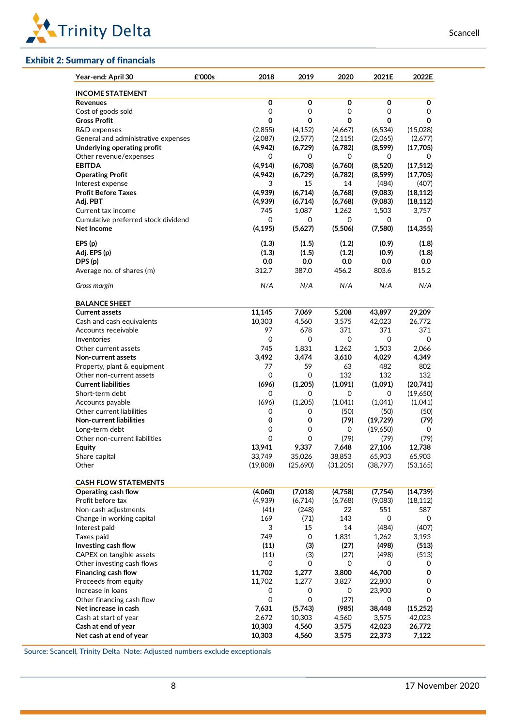

#### Exhibit 2: Summary of financials

| Year-end: April 30                  | £'000s | 2018     | 2019     | 2020        | 2021E     | 2022E     |
|-------------------------------------|--------|----------|----------|-------------|-----------|-----------|
| <b>INCOME STATEMENT</b>             |        |          |          |             |           |           |
| <b>Revenues</b>                     |        | 0        | 0        | 0           | 0         | 0         |
| Cost of goods sold                  |        | 0        | 0        | 0           | 0         | 0         |
| <b>Gross Profit</b>                 |        | 0        | 0        | $\mathbf 0$ | 0         | 0         |
| R&D expenses                        |        | (2,855)  | (4, 152) | (4,667)     | (6, 534)  | (15,028)  |
| General and administrative expenses |        | (2,087)  | (2,577)  | (2, 115)    | (2,065)   | (2,677)   |
| Underlying operating profit         |        | (4,942)  | (6,729)  | (6,782)     | (8,599)   | (17,705)  |
| Other revenue/expenses              |        | 0        | 0        | 0           | 0         | 0         |
| <b>EBITDA</b>                       |        | (4,914)  | (6,708)  | (6,760)     | (8,520)   | (17, 512) |
| <b>Operating Profit</b>             |        | (4,942)  | (6,729)  | (6,782)     | (8, 599)  | (17,705)  |
| Interest expense                    |        | 3        | 15       | 14          | (484)     | (407)     |
| <b>Profit Before Taxes</b>          |        | (4,939)  | (6,714)  | (6,768)     | (9,083)   | (18, 112) |
| Adj. PBT                            |        | (4,939)  | (6,714)  | (6,768)     | (9,083)   | (18, 112) |
| Current tax income                  |        | 745      | 1,087    | 1,262       | 1,503     | 3,757     |
| Cumulative preferred stock dividend |        | 0        | 0        | 0           | 0         | 0         |
| Net Income                          |        | (4, 195) | (5,627)  | (5,506)     | (7,580)   | (14, 355) |
| EPS(p)                              |        | (1.3)    | (1.5)    | (1.2)       | (0.9)     | (1.8)     |
| Adj. EPS (p)                        |        | (1.3)    | (1.5)    | (1.2)       | (0.9)     | (1.8)     |
| DPS (p)                             |        | 0.0      | 0.0      | 0.0         | 0.0       | 0.0       |
| Average no. of shares (m)           |        | 312.7    | 387.0    | 456.2       | 803.6     | 815.2     |
| Gross margin                        |        | N/A      | N/A      | N/A         | N/A       | N/A       |
| <b>BALANCE SHEET</b>                |        |          |          |             |           |           |
| <b>Current assets</b>               |        | 11,145   | 7,069    | 5,208       | 43,897    | 29,209    |
| Cash and cash equivalents           |        | 10,303   | 4,560    | 3,575       | 42,023    | 26,772    |
| Accounts receivable                 |        | 97       | 678      | 371         | 371       | 371       |
| Inventories                         |        | 0        | 0        | 0           | 0         | 0         |
| Other current assets                |        | 745      | 1,831    | 1,262       | 1,503     | 2,066     |
| <b>Non-current assets</b>           |        | 3,492    | 3,474    | 3,610       | 4,029     | 4,349     |
| Property, plant & equipment         |        | 77       | 59       | 63          | 482       | 802       |
| Other non-current assets            |        | 0        | 0        | 132         | 132       | 132       |
| <b>Current liabilities</b>          |        | (696)    | (1,205)  | (1,091)     | (1,091)   | (20,741)  |
| Short-term debt                     |        | 0        | 0        | 0           | 0         | (19,650)  |
| Accounts payable                    |        | (696)    | (1,205)  | (1,041)     | (1,041)   | (1,041)   |
| Other current liabilities           |        | 0        | 0        | (50)        | (50)      | (50)      |
| <b>Non-current liabilities</b>      |        | 0        | 0        | (79)        | (19, 729) | (79)      |
| Long-term debt                      |        | 0        | 0        | 0           | (19,650)  | 0         |
| Other non-current liabilities       |        | $\Omega$ | $\Omega$ | (79)        | (79)      | (79)      |
| Equity                              |        | 13,941   | 9,337    | 7,648       | 27,106    | 12,738    |
| Share capital                       |        | 33,749   | 35,026   | 38,853      | 65,903    | 65,903    |
| Other                               |        | (19,808) | (25,690) | (31,205)    | (38,797)  | (53, 165) |
| <b>CASH FLOW STATEMENTS</b>         |        |          |          |             |           |           |
| Operating cash flow                 |        | (4,060)  | (7,018)  | (4,758)     | (7, 754)  | (14,739)  |
| Profit before tax                   |        | (4,939)  | (6,714)  | (6,768)     | (9,083)   | (18, 112) |
| Non-cash adjustments                |        | (41)     | (248)    | 22          | 551       | 587       |
| Change in working capital           |        | 169      | (71)     | 143         | 0         | 0         |
| Interest paid                       |        | 3        | 15       | 14          | (484)     | (407)     |
| Taxes paid                          |        | 749      | 0        | 1,831       | 1,262     | 3,193     |
| Investing cash flow                 |        | (11)     | (3)      | (27)        | (498)     | (513)     |
| CAPEX on tangible assets            |        | (11)     | (3)      | (27)        | (498)     | (513)     |
| Other investing cash flows          |        | 0        | 0        | 0           | 0         | 0         |
| Financing cash flow                 |        | 11,702   | 1,277    | 3,800       | 46,700    | 0         |
| Proceeds from equity                |        | 11,702   | 1,277    | 3,827       | 22,800    | 0         |
| Increase in loans                   |        | 0        | 0        | 0           | 23,900    | 0         |
| Other financing cash flow           |        | 0        | 0        | (27)        | 0         | 0         |
| Net increase in cash                |        | 7,631    | (5,743)  | (985)       | 38,448    | (15, 252) |
| Cash at start of year               |        | 2,672    | 10,303   | 4,560       | 3,575     | 42,023    |
| Cash at end of year                 |        | 10,303   | 4,560    | 3,575       | 42,023    | 26,772    |
| Net cash at end of year             |        | 10,303   | 4,560    | 3,575       | 22,373    | 7,122     |

Source: Scancell, Trinity Delta Note: Adjusted numbers exclude exceptionals